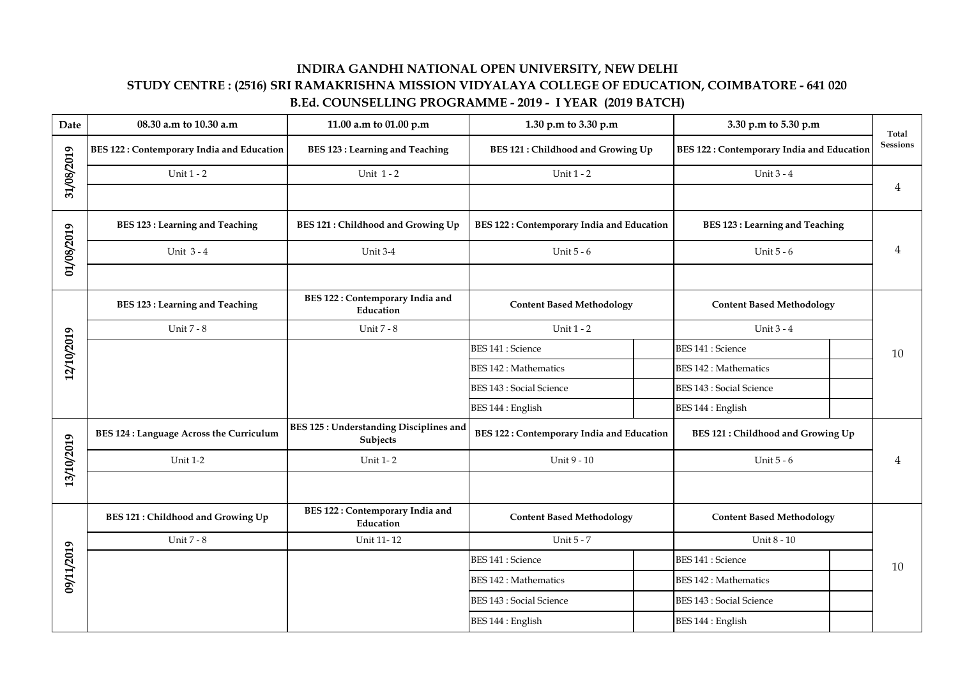## **INDIRA GANDHI NATIONAL OPEN UNIVERSITY, NEW DELHI STUDY CENTRE : (2516) SRI RAMAKRISHNA MISSION VIDYALAYA COLLEGE OF EDUCATION, COIMBATORE - 641 020 B.Ed. COUNSELLING PROGRAMME - 2019 - I YEAR (2019 BATCH)**

| Date       | 08.30 a.m to 10.30 a.m                           | 11.00 a.m to 01.00 p.m                                    | 1.30 p.m to 3.30 p.m                             |  | 3.30 p.m to 5.30 p.m                             |   | Total           |  |
|------------|--------------------------------------------------|-----------------------------------------------------------|--------------------------------------------------|--|--------------------------------------------------|---|-----------------|--|
| 31/08/2019 | <b>BES 122: Contemporary India and Education</b> | <b>BES 123 : Learning and Teaching</b>                    | BES 121 : Childhood and Growing Up               |  | <b>BES 122: Contemporary India and Education</b> |   | <b>Sessions</b> |  |
|            | Unit 1 - 2                                       | Unit 1-2                                                  | Unit 1 - 2                                       |  | Unit 3 - 4                                       |   |                 |  |
|            |                                                  |                                                           |                                                  |  |                                                  |   | $\overline{4}$  |  |
| 01/08/2019 | <b>BES 123: Learning and Teaching</b>            | <b>BES 121: Childhood and Growing Up</b>                  | <b>BES 122: Contemporary India and Education</b> |  | <b>BES 123 : Learning and Teaching</b>           |   |                 |  |
|            | Unit $3 - 4$                                     | Unit 3-4                                                  | Unit 5 - 6                                       |  | Unit 5 - 6                                       | 4 |                 |  |
|            |                                                  |                                                           |                                                  |  |                                                  |   |                 |  |
| 12/10/2019 | <b>BES 123: Learning and Teaching</b>            | <b>BES 122: Contemporary India and</b><br>Education       | <b>Content Based Methodology</b>                 |  | <b>Content Based Methodology</b>                 |   |                 |  |
|            | Unit 7 - 8                                       | Unit 7 - 8                                                | Unit 1 - 2                                       |  | Unit 3 - 4                                       |   |                 |  |
|            |                                                  |                                                           | <b>BES 141 : Science</b>                         |  | <b>BES 141 : Science</b>                         |   | 10              |  |
|            |                                                  |                                                           | <b>BES 142 : Mathematics</b>                     |  | <b>BES 142 : Mathematics</b>                     |   |                 |  |
|            |                                                  |                                                           | <b>BES 143 : Social Science</b>                  |  | <b>BES 143 : Social Science</b>                  |   |                 |  |
|            |                                                  |                                                           | BES 144 : English                                |  | BES 144 : English                                |   |                 |  |
| 13/10/2019 | <b>BES 124 : Language Across the Curriculum</b>  | <b>BES 125: Understanding Disciplines and</b><br>Subjects | BES 122: Contemporary India and Education        |  | <b>BES 121: Childhood and Growing Up</b>         |   |                 |  |
|            | <b>Unit 1-2</b>                                  | <b>Unit 1-2</b>                                           | Unit 9 - 10                                      |  | Unit 5 - 6                                       |   | 4               |  |
|            |                                                  |                                                           |                                                  |  |                                                  |   |                 |  |
| 09/11/2019 | <b>BES 121: Childhood and Growing Up</b>         | <b>BES 122: Contemporary India and</b><br>Education       | <b>Content Based Methodology</b>                 |  | <b>Content Based Methodology</b>                 |   |                 |  |
|            | Unit 7 - 8                                       | Unit 11-12                                                | Unit 5 - 7                                       |  | Unit 8 - 10                                      |   |                 |  |
|            |                                                  |                                                           | <b>BES 141 : Science</b>                         |  | <b>BES 141 : Science</b>                         |   | 10              |  |
|            |                                                  |                                                           | <b>BES 142 : Mathematics</b>                     |  | <b>BES 142 : Mathematics</b>                     |   |                 |  |
|            |                                                  |                                                           | <b>BES 143 : Social Science</b>                  |  | <b>BES 143 : Social Science</b>                  |   |                 |  |
|            |                                                  |                                                           | BES 144 : English                                |  | BES 144 : English                                |   |                 |  |